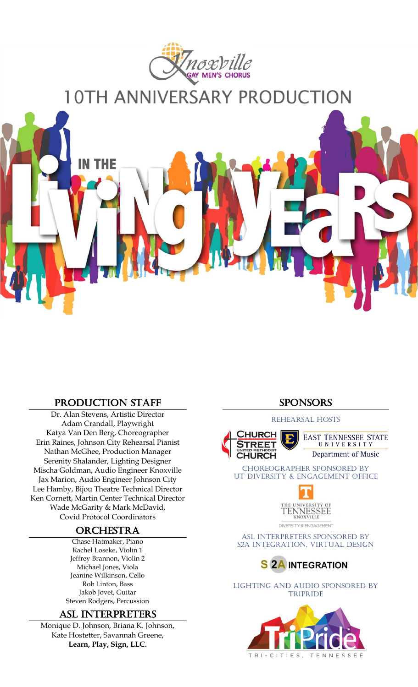

# $\overline{\phantom{a}}$

٦

J

Ĩ

í

ŗ

V

l

ŕ

## production STAFF

IN THE

Dr. Alan Stevens, Artistic Director Adam Crandall, Playwright Katya Van Den Berg, Choreographer Erin Raines, Johnson City Rehearsal Pianist Nathan McGhee, Production Manager Serenity Shalander, Lighting Designer Mischa Goldman, Audio Engineer Knoxville Jax Marion, Audio Engineer Johnson City Lee Hamby, Bijou Theatre Technical Director Ken Cornett, Martin Center Technical Director Wade McGarity & Mark McDavid, Covid Protocol Coordinators

## **ORCHESTRA**

Chase Hatmaker, Piano Rachel Loseke, Violin 1 Jeffrey Brannon, Violin 2 Michael Jones, Viola Jeanine Wilkinson, Cello Rob Linton, Bass Jakob Jovet, Guitar Steven Rodgers, Percussion

#### aSL Interpreters

Monique D. Johnson, Briana K. Johnson, Kate Hostetter, Savannah Greene, **Learn, Play, Sign, LLC.**

### **SPONSORS**

#### rehearsal hosts



**EAST TENNESSEE STATE** UNIVERSITY Department of Music

Choreographer Sponsored by UT Diversity & Engagement Office



DIVERSITY & ENGAGEMENT

ASL Interpreters Sponsored by S2A Integration, Virtual Design



Lighting and Audio Sponsored by **TRIPRIDE**